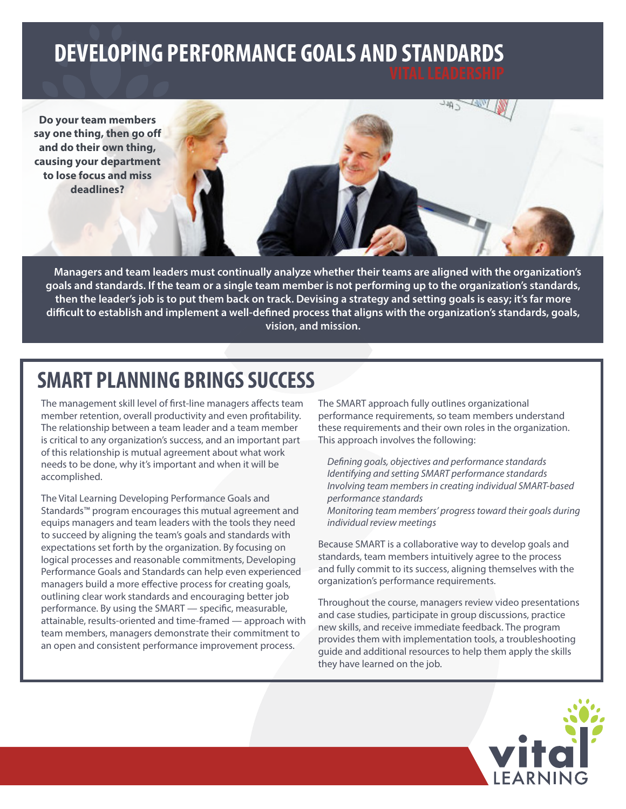# **DEVELOPING PERFORMANCE GOALS AND STANDARDS**

**Do your team members say one thing, then go off and do their own thing, causing your department to lose focus and miss deadlines?**

**Managers and team leaders must continually analyze whether their teams are aligned with the organization's goals and standards. If the team or a single team member is not performing up to the organization's standards, then the leader's job is to put them back on track. Devising a strategy and setting goals is easy; it's far more difficult to establish and implement a well-defined process that aligns with the organization's standards, goals, vision, and mission.**

**relationships and lost productivity.**

## **SMART PLANNING BRINGS SUCCESS**

The management skill level of first-line managers affects team member retention, overall productivity and even profitability. The relationship between a team leader and a team member is critical to any organization's success, and an important part of this relationship is mutual agreement about what work needs to be done, why it's important and when it will be accomplished.

The Vital Learning Developing Performance Goals and Standards™ program encourages this mutual agreement and equips managers and team leaders with the tools they need to succeed by aligning the team's goals and standards with expectations set forth by the organization. By focusing on logical processes and reasonable commitments, Developing Performance Goals and Standards can help even experienced managers build a more effective process for creating goals, outlining clear work standards and encouraging better job performance. By using the SMART — specific, measurable, attainable, results-oriented and time-framed — approach with team members, managers demonstrate their commitment to an open and consistent performance improvement process.

The SMART approach fully outlines organizational performance requirements, so team members understand these requirements and their own roles in the organization. This approach involves the following:

**In the second face-to-face-to-face-to-face-to-face-to-face-to-face-to-face-to-face-to-face-to-face-to-face-to-face-to-face-to-face-to-face-to-face-to-face-to-face-to-face-to-face-to-face-to-face-to-face-to-face-to-face-to interaction and a focus on telecommuting and remote work relationships, effective communication is more critical than ever. The ability to send clear, concise messages and listen**  well can mean the difference business and difference business and difference business and difference business and difference business and difference business and difference business and difference business and difference b

> *Defining goals, objectives and performance standards Identifying and setting SMART performance standards Involving team members in creating individual SMART-based performance standards Monitoring team members' progress toward their goals during individual review meetings*

Because SMART is a collaborative way to develop goals and standards, team members intuitively agree to the process and fully commit to its success, aligning themselves with the organization's performance requirements.

Throughout the course, managers review video presentations and case studies, participate in group discussions, practice new skills, and receive immediate feedback. The program provides them with implementation tools, a troubleshooting guide and additional resources to help them apply the skills they have learned on the job.